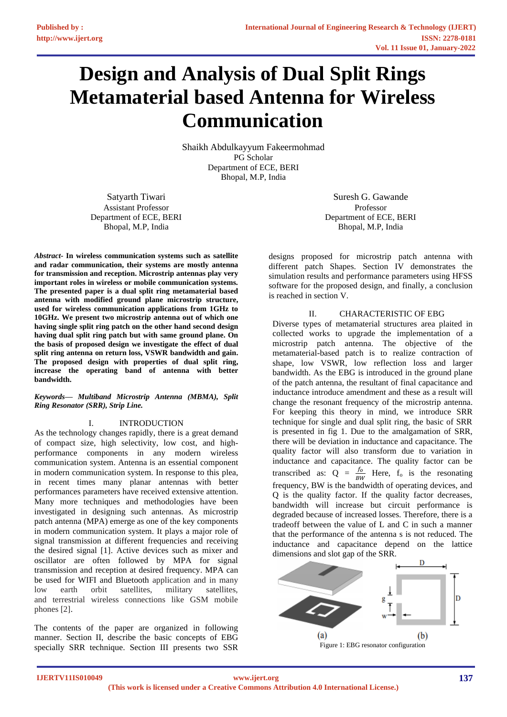# **Design and Analysis of Dual Split Rings Metamaterial based Antenna for Wireless Communication**

Shaikh Abdulkayyum Fakeermohmad PG Scholar Department of ECE, BERI Bhopal, M.P, India

Satyarth Tiwari Assistant Professor Department of ECE, BERI Bhopal, M.P, India

*Abstract-* **In wireless communication systems such as satellite and radar communication, their systems are mostly antenna for transmission and reception. Microstrip antennas play very important roles in wireless or mobile communication systems. The presented paper is a dual split ring metamaterial based antenna with modified ground plane microstrip structure, used for wireless communication applications from 1GHz to 10GHz. We present two microstrip antenna out of which one having single split ring patch on the other hand second design having dual split ring patch but with same ground plane. On the basis of proposed design we investigate the effect of dual split ring antenna on return loss, VSWR bandwidth and gain. The proposed design with properties of dual split ring, increase the operating band of antenna with better bandwidth.**

## *Keywords— Multiband Microstrip Antenna (MBMA), Split Ring Resonator (SRR), Strip Line.*

# I. INTRODUCTION

As the technology changes rapidly, there is a great demand of compact size, high selectivity, low cost, and highperformance components in any modern wireless communication system. Antenna is an essential component in modern communication system. In response to this plea, in recent times many planar antennas with better performances parameters have received extensive attention. Many more techniques and methodologies have been investigated in designing such antennas. As microstrip patch antenna (MPA) emerge as one of the key components in modern communication system. It plays a major role of signal transmission at different frequencies and receiving the desired signal [1]. Active devices such as mixer and oscillator are often followed by MPA for signal transmission and reception at desired frequency. MPA can be used for WIFI and Bluetooth application and in many low earth orbit satellites, military satellites, and terrestrial wireless connections like GSM mobile phones [2].

The contents of the paper are organized in following manner. Section II, describe the basic concepts of EBG specially SRR technique. Section III presents two SSR

Suresh G. Gawande Professor Department of ECE, BERI Bhopal, M.P, India

designs proposed for microstrip patch antenna with different patch Shapes. Section IV demonstrates the simulation results and performance parameters using HFSS software for the proposed design, and finally, a conclusion is reached in section V.

# II. CHARACTERISTIC OF EBG

Diverse types of metamaterial structures area plaited in collected works to upgrade the implementation of a microstrip patch antenna. The objective of the metamaterial-based patch is to realize contraction of shape, low VSWR, low reflection loss and larger bandwidth. As the EBG is introduced in the ground plane of the patch antenna, the resultant of final capacitance and inductance introduce amendment and these as a result will change the resonant frequency of the microstrip antenna. For keeping this theory in mind, we introduce SRR technique for single and dual split ring, the basic of SRR is presented in fig 1. Due to the amalgamation of SRR, there will be deviation in inductance and capacitance. The quality factor will also transform due to variation in inductance and capacitance. The quality factor can be transcribed as:  $Q = \frac{f_o}{BW}$  Here,  $f_o$  is the resonating frequency, BW is the bandwidth of operating devices, and Q is the quality factor. If the quality factor decreases, bandwidth will increase but circuit performance is degraded because of increased losses. Therefore, there is a tradeoff between the value of L and C in such a manner that the performance of the antenna s is not reduced. The inductance and capacitance depend on the lattice dimensions and slot gap of the SRR.

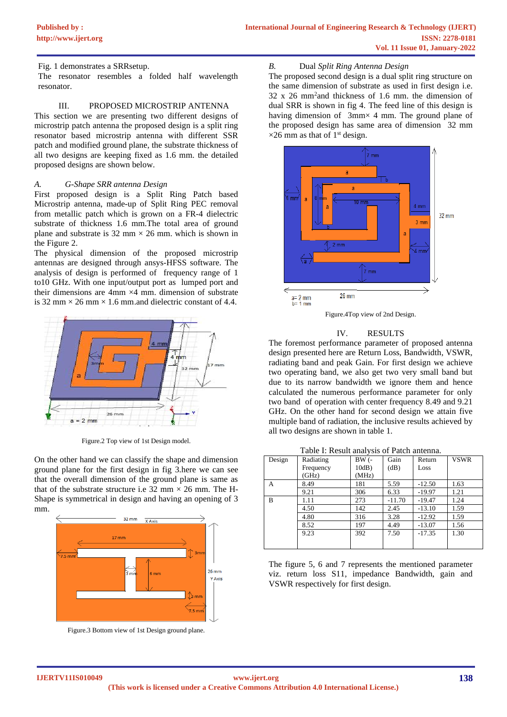## Fig. 1 demonstrates a SRRsetup.

The resonator resembles a folded half wavelength resonator.

### III. PROPOSED MICROSTRIP ANTENNA

This section we are presenting two different designs of microstrip patch antenna the proposed design is a split ring resonator based microstrip antenna with different SSR patch and modified ground plane, the substrate thickness of all two designs are keeping fixed as 1.6 mm. the detailed proposed designs are shown below.

#### *A. G-Shape SRR antenna Design*

First proposed design is a Split Ring Patch based Microstrip antenna, made-up of Split Ring PEC removal from metallic patch which is grown on a FR-4 dielectric substrate of thickness 1.6 mm.The total area of ground plane and substrate is  $32 \text{ mm} \times 26 \text{ mm}$ . which is shown in the Figure 2.

The physical dimension of the proposed microstrip antennas are designed through ansys-HFSS software. The analysis of design is performed of frequency range of 1 to10 GHz. With one input/output port as lumped port and their dimensions are 4mm  $\times$ 4 mm. dimension of substrate is 32 mm  $\times$  26 mm  $\times$  1.6 mm, and dielectric constant of 4.4.



Figure.2 Top view of 1st Design model.

On the other hand we can classify the shape and dimension ground plane for the first design in fig 3.here we can see that the overall dimension of the ground plane is same as that of the substrate structure i.e  $32 \text{ mm} \times 26 \text{ mm}$ . The H-Shape is symmetrical in design and having an opening of 3 mm.



Figure.3 Bottom view of 1st Design ground plane.

## *B.* Dual *Split Ring Antenna Design*

The proposed second design is a dual split ring structure on the same dimension of substrate as used in first design i.e. 32 x 26 mm<sup>2</sup> and thickness of 1.6 mm. the dimension of dual SRR is shown in fig 4. The feed line of this design is having dimension of  $3mm \times 4mm$ . The ground plane of the proposed design has same area of dimension 32 mm  $\times$ 26 mm as that of 1<sup>st</sup> design.



Figure.4Top view of 2nd Design.

## IV. RESULTS

The foremost performance parameter of proposed antenna design presented here are Return Loss, Bandwidth, VSWR, radiating band and peak Gain. For first design we achieve two operating band, we also get two very small band but due to its narrow bandwidth we ignore them and hence calculated the numerous performance parameter for only two band of operation with center frequency 8.49 and 9.21 GHz. On the other hand for second design we attain five multiple band of radiation, the inclusive results achieved by all two designs are shown in table 1.

Table I: Result analysis of Patch antenna.

| Design | Radiating | $BW(-$   | Gain     | Return   | <b>VSWR</b> |
|--------|-----------|----------|----------|----------|-------------|
|        | Frequency | $10dB$ ) | (dB)     | Loss     |             |
|        | (GHz)     | (MHz)    |          |          |             |
| А      | 8.49      | 181      | 5.59     | $-12.50$ | 1.63        |
|        | 9.21      | 306      | 6.33     | $-19.97$ | 1.21        |
| B      | 1.11      | 273      | $-11.70$ | $-19.47$ | 1.24        |
|        | 4.50      | 142      | 2.45     | $-13.10$ | 1.59        |
|        | 4.80      | 316      | 3.28     | $-12.92$ | 1.59        |
|        | 8.52      | 197      | 4.49     | $-13.07$ | 1.56        |
|        | 9.23      | 392      | 7.50     | $-17.35$ | 1.30        |
|        |           |          |          |          |             |

The figure 5, 6 and 7 represents the mentioned parameter viz. return loss S11, impedance Bandwidth, gain and VSWR respectively for first design.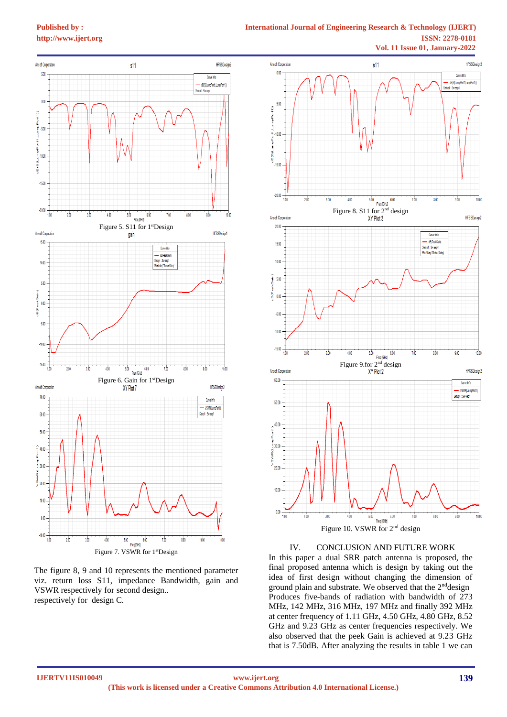**[Published by :](www.ijert.org)**

# **International Journal of Engineering Research & Technology (IJERT) [http://www.ijert.org](www.ijert.org) ISSN: 2278-0181**



The figure 8, 9 and 10 represents the mentioned parameter viz. return loss S11, impedance Bandwidth, gain and VSWR respectively for second design.. respectively for design C.



## IV. CONCLUSION AND FUTURE WORK

In this paper a dual SRR patch antenna is proposed, the final proposed antenna which is design by taking out the idea of first design without changing the dimension of ground plain and substrate. We observed that the  $2<sup>nd</sup>$ design Produces five-bands of radiation with bandwidth of 273 MHz, 142 MHz, 316 MHz, 197 MHz and finally 392 MHz at center frequency of 1.11 GHz, 4.50 GHz, 4.80 GHz, 8.52 GHz and 9.23 GHz as center frequencies respectively. We also observed that the peek Gain is achieved at 9.23 GHz that is 7.50dB. After analyzing the results in table 1 we can